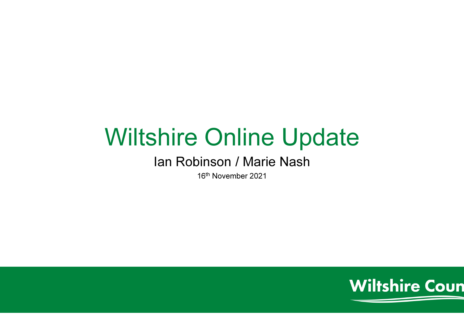# Wiltshire Online Update

#### Ian Robinson / Marie Nash

16<sup>th</sup> November 2021

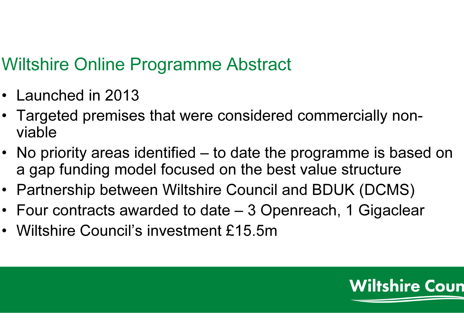### Wiltshire Online Programme Abstract

- Launched in 2013
- Targeted premises that were considered commercially nonviable
- No priority areas identified to date the programme is based on a gap funding model focused on the best value structure
- Partnership between Wiltshire Council and BDUK (DCMS)
- Four contracts awarded to date 3 Openreach, 1 Gigaclear
- Wiltshire Council's investment £15.5m

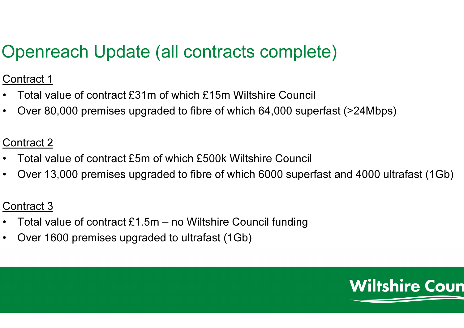## Openreach Update (all contracts complete)

Contract 1

- $\bullet$ Total value of contract £31m of which £15m Wiltshire Council
- •Over 80,000 premises upgraded to fibre of which 64,000 superfast (>24Mbps)

#### Contract 2

- •Total value of contract £5m of which £500k Wiltshire Council
- •Over 13,000 premises upgraded to fibre of which 6000 superfast and 4000 ultrafast (1Gb)

#### Contract 3

- •Total value of contract £1.5m – no Wiltshire Council funding
- •Over 1600 premises upgraded to ultrafast (1Gb)

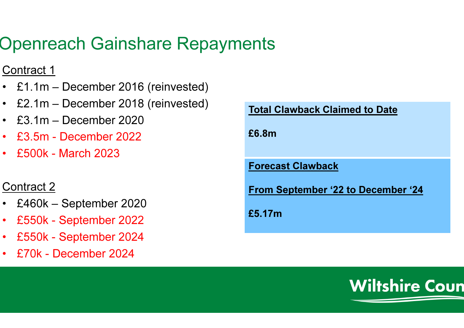### Openreach Gainshare Repayments

#### Contract 1

- £1.1m December 2016 (reinvested)
- £2.1m December 2018 (reinvested)
- £3.1m December 2020
- •£3.5m - December 2022
- •£500k - March 2023

#### Contract 2

- •£460k – September 2020
- •£550k - September 2022
- •£550k - September 2024
- •£70k - December 2024

| <b>Total Clawback Claimed to Date</b>     |
|-------------------------------------------|
| £6.8m                                     |
| <b>Forecast Clawback</b>                  |
| <b>From September '22 to December '24</b> |
| £5.17m                                    |
|                                           |

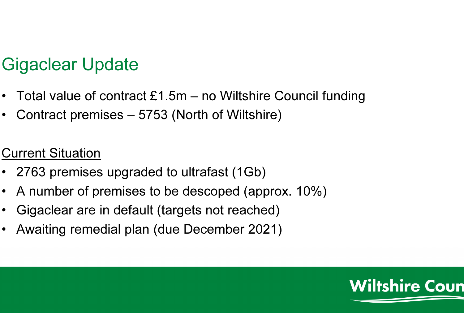### Gigaclear Update

- Total value of contract £1.5m no Wiltshire Council funding
- Contract premises 5753 (North of Wiltshire)

### Current Situation

- 2763 premises upgraded to ultrafast (1Gb)
- A number of premises to be descoped (approx. 10%)
- Gigaclear are in default (targets not reached)
- Awaiting remedial plan (due December 2021)